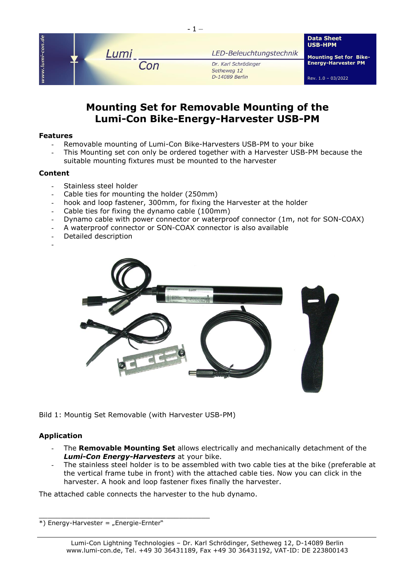

# **Mounting Set for Removable Mounting of the Lumi-Con Bike-Energy-Harvester USB-PM**

### **Features**

- Removable mounting of Lumi-Con Bike-Harvesters USB-PM to your bike
- This Mounting set con only be ordered together with a Harvester USB-PM because the suitable mounting fixtures must be mounted to the harvester

# **Content**

- Stainless steel holder
- Cable ties for mounting the holder (250mm)
- hook and loop [fastener,](https://dict.leo.org/englisch-deutsch/fastener) 300mm, for fixing the Harvester at the holder
- Cable ties for fixing the dynamo cable (100mm)
- Dynamo cable with power connector or waterproof connector (1m, not for SON-COAX)
- A waterproof connector or SON-COAX connector is also available
- Detailed description
- -



Bild 1: Mountig Set Removable (with Harvester USB-PM)

# **Application**

- The **Removable Mounting Set** allows electrically and mechanically detachment of the *Lumi-Con Energy-Harvesters* at your bike.
- The stainless steel holder is to be assembled with two cable ties at the bike (preferable at the vertical frame tube in front) with the attached cable ties. Now you can click in the harvester. A hook and loop [fastener](https://dict.leo.org/englisch-deutsch/fastener) fixes finally the harvester.

The attached cable connects the harvester to the hub dynamo.

 $*$ ) Energy-Harvester = "Energie-Ernter"

\_\_\_\_\_\_\_\_\_\_\_\_\_\_\_\_\_\_\_\_\_\_\_\_\_\_\_\_\_\_\_\_\_\_\_\_\_\_\_